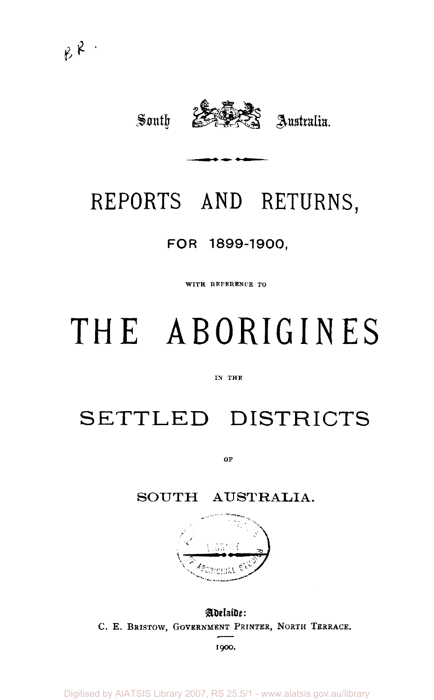

# REPORTS AND RETURNS,

## FOR 1899-1900,

WITH REFERENCE TO

# **THE ABORIGINES**

#### IN THE

# SETTLED DISTRICTS

OF

### SOUTH AUSTRALIA.



Adelaide: C. E. BRISTOW, GOVERNMENT PRINTER, NORTH TERRACE.

1900.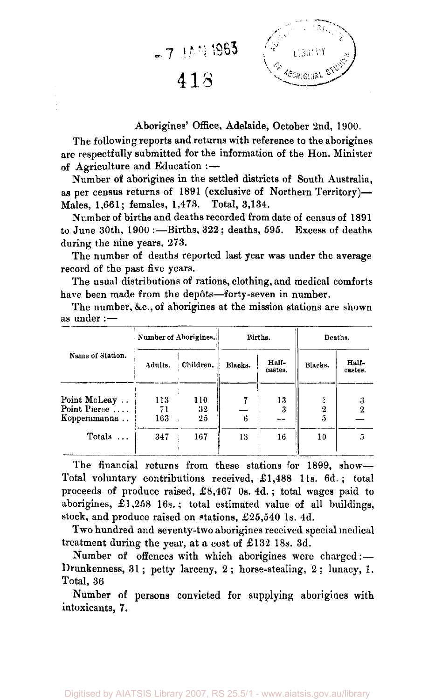

#### Aborigines' Office, Adelaide, October 2nd, 1900.

The following reports and returns with reference to the aborigines are respectfully submitted for the information of the Hon. Minister of Agriculture and Education :—

Number of aborigines in the settled districts of South Australia, as per census returns of 1891 (exclusive of Northern Territory)— Males, 1,661; females, 1,473. Total, 3,134.

Number of births and deaths recorded from date of census of 1891 to June 30th, 1900 :—Births, 322 ; deaths, 595. Excess of deaths during the nine years, 273.

The number of deaths reported last year was under the average record of the past five years.

The usual distributions of rations, clothing, and medical comforts have been made from the depôts-forty-seven in number.

The number, &c, of aborigines at the mission stations are shown as under :—

|                  | Number of Aborigines. |           |         | Births.          | Deaths. |                  |  |
|------------------|-----------------------|-----------|---------|------------------|---------|------------------|--|
| Name of Station. | Adults.               | Children. | Blacks. | Half-<br>castes. | Blacks. | Half-<br>castes. |  |
| Point McLeay     | 113                   | 110       |         | 13               |         |                  |  |
| Point Pierce     | 71                    | 32        |         | 3                |         | 2                |  |
| Kopperamanna     | 163                   | 25        | 6       |                  |         |                  |  |
| Totals           | 347                   | 167       | 13      | 16               | 10      | ë)               |  |

The financial returns from these stations for 1899, show— Total voluntary contributions received, £1,488 l1s. 6d. ; total proceeds of produce raised, £8,467 0s. 4d.; total wages paid to aborigines, £1,258 16s.; total estimated value of all buildings, stock, and produce raised on stations, £25,540 1s. 4d.

Two hundred and seventy-two aborigines received special medical treatment during the year, at a cost of £132 18s. 3d.

Number of offences with which aborigines were charged:— Drunkenness, 31; petty larceny, 2; horse-stealing, 2; lunacy, 1. Total, 36

Number of persons convicted for supplying aborigines with intoxicants, 7.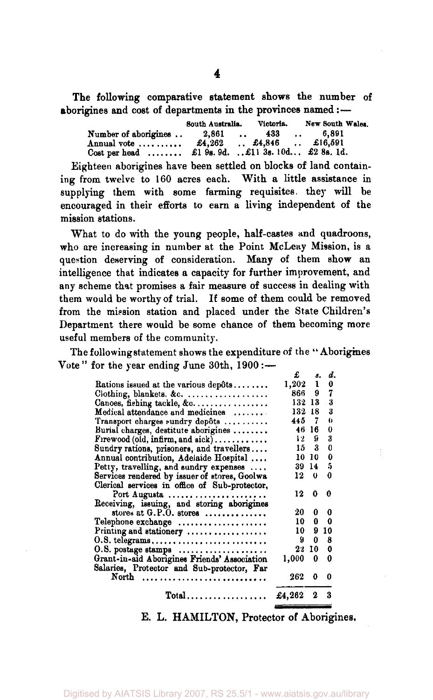The following comparative statement shows the number of aborigines and cost of departments in the provinces named:—

|                                    | South Australia. |  | Victoria.                                                  |  | New South Wales. |  |
|------------------------------------|------------------|--|------------------------------------------------------------|--|------------------|--|
| Number of aborigines               | 2,861            |  | $\ldots$ 433                                               |  | $\ldots$ 6,891   |  |
| Annual vote                        |                  |  | $\pounds4.262$ $\qquad$ . $\pounds4.846$ . $\pounds16.591$ |  |                  |  |
| $\text{Cost per head} \dots \dots$ |                  |  | £1 9s. 9d. £11 3s. 10d £2 8s. 1d.                          |  |                  |  |

Eighteen aborigines have been settled on blocks of land containing from twelve to 160 acres each. With a little assistance in supplying them with some farming requisites. they will be supplying them with some farming requisites, they will be encouraged in their efforts to earn a living independent of the mission stations.

What to do with the young people, half-castes and quadroons, who are increasing in number at the Point McLeay Mission, is a question deserving of consideration. Many of them show an intelligence that indicates a capacity for further improvement, and any scheme that promises a fair measure of success in dealing with them would be worthy of trial. If some of them could be removed<br>from the mission station and placed under the State Children's from the mission station and placed under the State Children's Department there would be some chance of them becoming more useful members of the community.

The following statement shows the expenditure of the " Aborigines Vote" for the year ending June  $30th$ ,  $1900$  :-

|                                               | £               | 8.  | d. |
|-----------------------------------------------|-----------------|-----|----|
| Rations issued at the various depôts          | $1,202 \quad 1$ |     | 0  |
| Clothing, blankets. &c.                       | 866             | 9.  | 7  |
| Canoes, fishing tackle, $\&c$                 | 132 13          |     | 3  |
| Medical attendance and medicines              | 132 18          |     | 3  |
| Transport charges sundry depôts               | 445             | - 7 | 0  |
| Burial charges, destitute aborigines          | 46 16           |     | 0  |
| $F$ rewood (old, infirm, and sick)            | 12              | 9   | 3  |
| Sundry rations, prisoners, and travellers     | 15 -            | 3   | 0  |
| Annual contribution, Adelaide Hospital        | 10              | 10  | 0  |
| Petty, travelling, and sundry expenses        | 39              | 14  | 5  |
| Services rendered by issuer of stores, Goolwa | 12              | - 0 | 0  |
| Clerical services in office of Sub-protector. |                 |     |    |
| Port Augusta                                  | 12              | 0   | 0  |
| Receiving, issuing, and storing aborigines    |                 |     |    |
| stores at G.P.O. stores                       | 20              | 0   | 0  |
| Telephone exchange                            | 10              | 0   | 0  |
| Printing and stationery                       | 10 -            | 9   | 10 |
| 0.8. telegrams                                | 9               | 0   | 8  |
| O.S. postage stamps                           | 22              | 10  | 0  |
| Grant-in-aid Aborigines Friends' Association  | 1,000           | 0   | 0  |
| Salaries, Protector and Sub-protector, Far    |                 |     |    |
| North                                         | 262             | 0   | 0  |
| $Total \dots \dots \dots \dots \dots \dots$   | £4,262          | -2  | 3  |
|                                               |                 |     |    |

E. L. HAMILTON, Protector of Aborigines.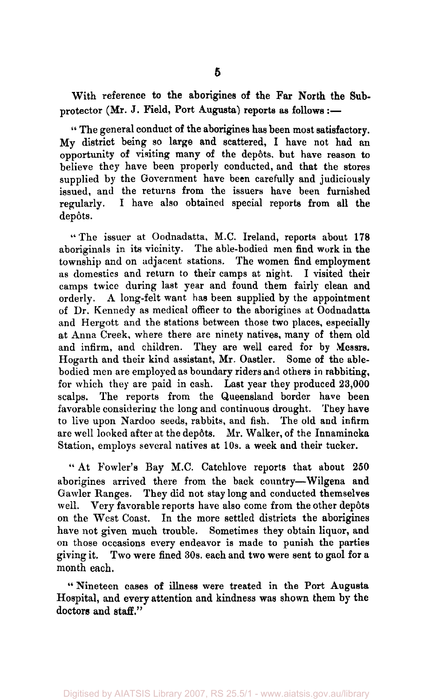With reference to the aborigines of the Far North the Subprotector (Mr. J. Field, Port Augusta) reports as follows:—

" The general conduct of the aborigines has been most satisfactory. My district being so large and scattered, I have not had an opportunity of visiting many of the depots, but have reason to believe they have been properly conducted, and that the stores supplied by the Government have been carefully and judiciously issued, and the returns from the issuers have been furnished regularly. I have also obtained special reports from all the depôts.

"The issuer at Oodnadatta, M.C. Ireland, reports about 178 aboriginals in its vicinity. The able-bodied men find work in the township and on adjacent stations. The women find employment as domestics and return to their camps at night. I visited their camps twice during last year and found them fairly clean and orderly. A long-felt want has been supplied by the appointment of Dr. Kennedy as medical officer to the aborigines at Oodnadatta and Hergott and the stations between those two places, especially at Anna Creek, where there are ninety natives, many of them old and infirm, and children. They are well cared for by Messrs. Hogarth and their kind assistant, Mr. Oastler. Some of the ablebodied men are employed as boundary riders and others in rabbiting, for which they are paid in cash. Last year they produced 23,000 scalps. The reports from the Queensland border have been favorable considering the long and continuous drought. They have to live upon Nardoo seeds, rabbits, and fish. The old and infirm are well looked after at the depôts. Mr. Walker, of the Innamincka Station, employs several natives at 10s. a week and their tucker.

" At Fowler's Bay M.C. Catchlove reports that about 250 aborigines arrived there from the back country—Wilgena and Gawler Ranges. They did not stay long and conducted themselves well. Very favorable reports have also come from the other depôts on the West Coast. In the more settled districts the aborigines have not given much trouble. Sometimes they obtain liquor, and on those occasions every endeavor is made to punish the parties giving it. Two were fined 30s. each and two were sent to gaol for a month each.

" Nineteen cases of illness were treated in the Port Augusta Hospital, and every attention and kindness was shown them by the doctors and staff."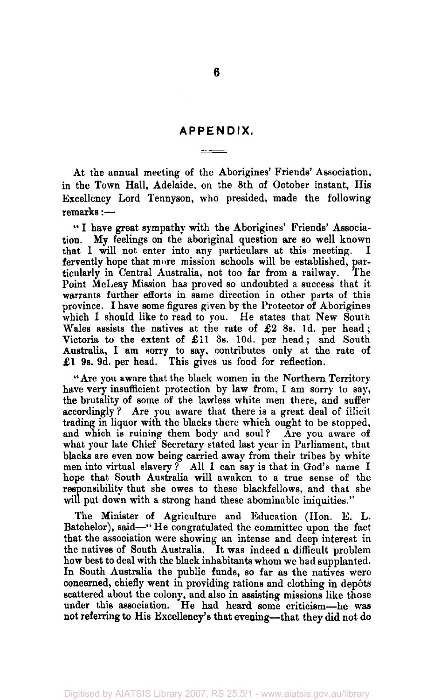### **APPENDIX.**  والمستودعين

At the annual meeting of the Aborigines' Friends' Association, in the Town Hall, Adelaide, on the 8th of October instant, His Excellency Lord Tennyson, who presided, made the following remarks:—

" I have great sympathy with the Aborigines' Friends' Association. My feelings on the aboriginal question are so well known that I will not enter into any particulars at this meeting. I fervently hope that more mission schools will be established, particularly in Central Australia, not too far from a railway. The Point McLeay Mission has proved so undoubted a success that it warrants further efforts in same direction in other parts of this province. I have some figures given by the Protector of Aborigines which I should like to read to you. He states that New South Wales assists the natives at the rate of £2 8s. 1d. per head; Victoria to the extent of £11 3s. lOd. per head; and South Australia, I am sorry to say, contributes only at the rate of £1 9s. 9d. per head. This gives us food for reflection.

" Are you aware that the black women in the Northern Territory have very insufficient protection by law from, I am sorry to say, the brutality of some of the lawless white men there, and suffer accordingly ? Are you aware that there is a great deal of illicit trading in liquor with the blacks there which ought to be stopped, and which is ruining them body and soul? Are you aware of what your late Chief Secretary stated last year in Parliament, that blacks are even now being carried away from their tribes by white men into virtual slavery ? All 1 can say is that in God's name I hope that South Australia will awaken to a true sense of the responsibility that she owes to these blackfellows, and that she will put down with a strong hand these abominable iniquities."

The Minister of Agriculture and Education (Hon. E. L. Batchelor), said—" He congratulated the committee upon the fact that the association were showing an intense and deep interest in the natives of South Australia. It was indeed a difficult problem how best to deal with the black inhabitants whom we had supplanted. In South Australia the public funds, so far as the natives were concerned, chiefly went in providing rations and clothing in depots scattered about the colony, and also in assisting missions like those under this association. He had heard some criticism—he was not referring to His Excellency's that evening—that they did not do